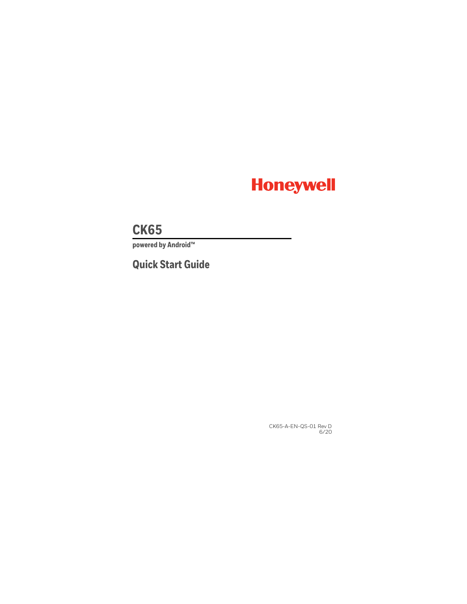

# **CK65**

**powered by Android™** 

# **Quick Start Guide**

CK65-A-EN-QS-01 Rev D 6/20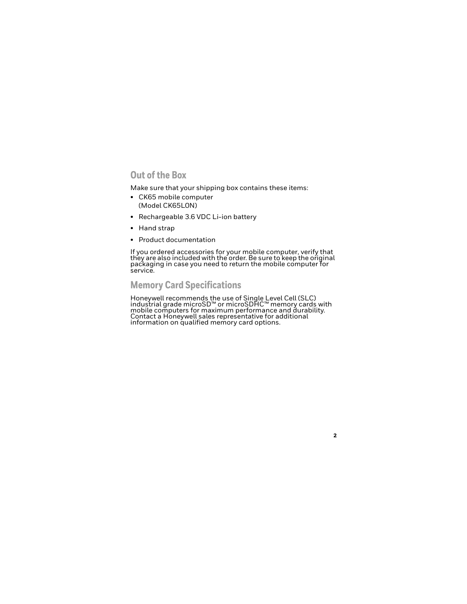# **Out of the Box**

Make sure that your shipping box contains these items:

- CK65 mobile computer (Model CK65L0N)
- Rechargeable 3.6 VDC Li-ion battery
- Hand strap
- Product documentation

If you ordered accessories for your mobile computer, verify that they are also included with the order. Be sure to keep the original<br>packaging in case you need to return the mobile computer for service.

# **Memory Card Specifications**

Honeywell recommends the use of Single Level Cell (SLC)<br>industrial grade microSD™ or microSDHC™ memory cards with induction grade microsom or microsome mobile computers for maximum performance and durability. Contact a Honeywell sales representative for additional information on qualified memory card options.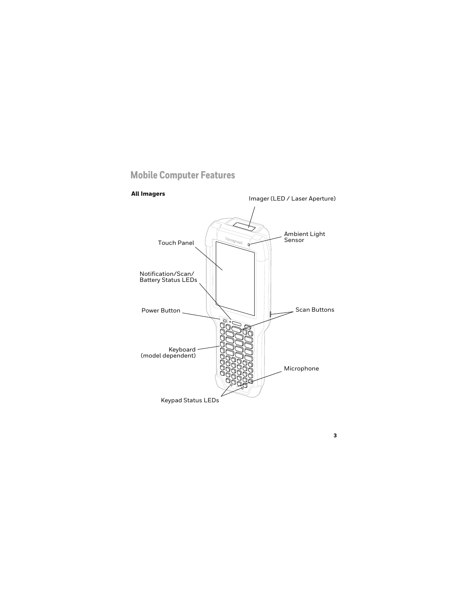### <span id="page-2-0"></span>**Mobile Computer Features**

#### **All Imagers**

Imager (LED / Laser Aperture)

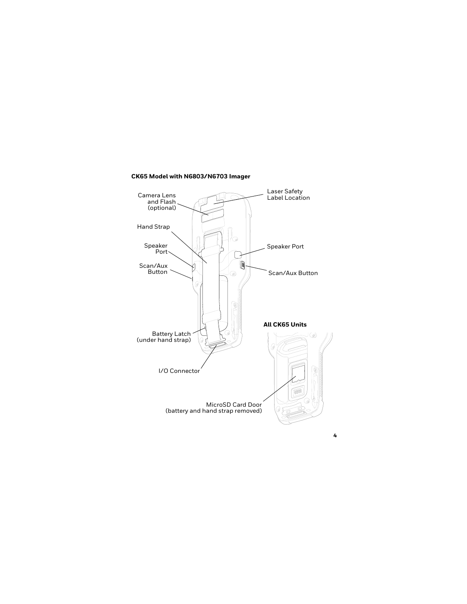#### **CK65 Model with N6803/N6703 Imager**

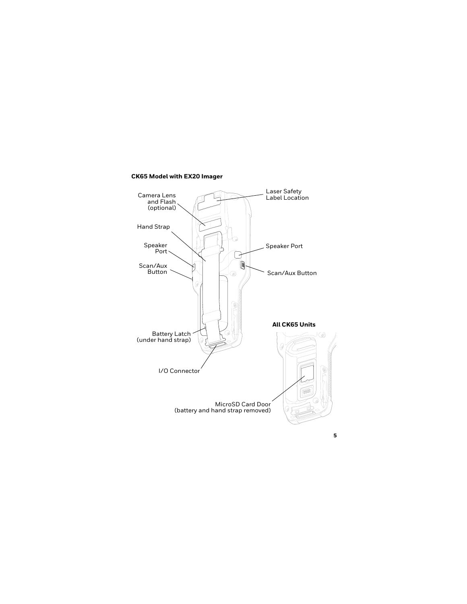#### **CK65 Model with EX20 Imager**

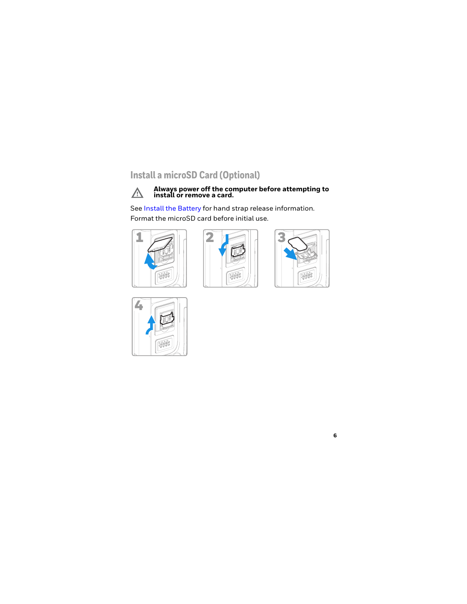# **Install a microSD Card (Optional)**



# **Always power off the computer before attempting to install or remove a card.**

See [Install the Battery](#page-6-0) for hand strap release information. Format the microSD card before initial use.







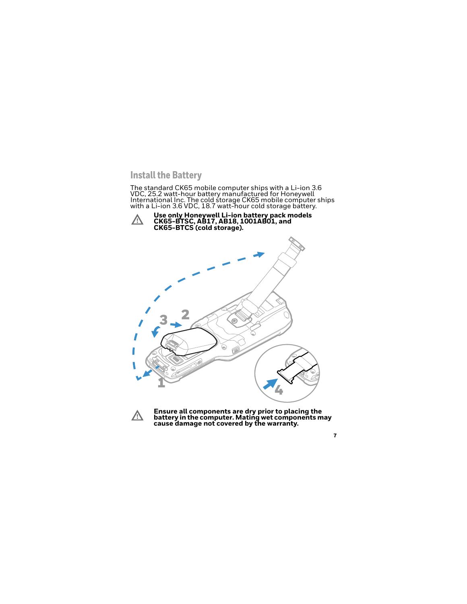### <span id="page-6-0"></span>**Install the Battery**

The standard CK65 mobile computer ships with a Li-ion 3.6<br>VDC, 25.2 watt-hour battery manufactured for Honeywell International Inc. The cold storage CK65 mobile computer ships<br>with a Li-ion 3.6 VDC, 18.7 watt-hour cold storage battery.





**Ensure all components are dry prior to placing the battery in the computer. Mating wet components may cause damage not covered by the warranty.**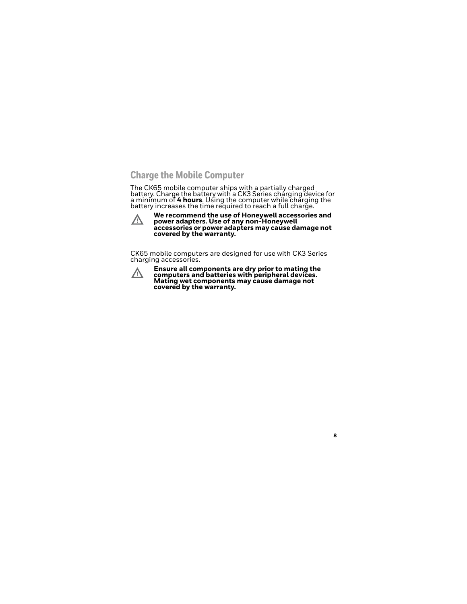# **Charge the Mobile Computer**

The CK65 mobile computer ships with a partially charged battery. Charge the battery with a CK3 Series charging device for<br>a minimum of 4 hours. Using the computer while charging the battery increases the time required to reach a full charge.



**We recommend the use of Honeywell accessories and power adapters. Use of any non-Honeywell accessories or power adapters may cause damage not covered by the warranty.**

CK65 mobile computers are designed for use with CK3 Series charging accessories.



**Ensure all components are dry prior to mating the computers and batteries with peripheral devices. Mating wet components may cause damage not covered by the warranty.**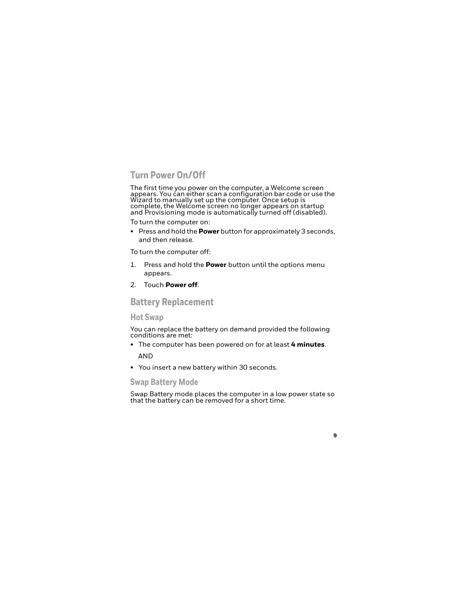# **Turn Power On/Off**

The first time you power on the computer, a Welcome screen appears. You can either scan a configuration bar code or use the Wizard to manually set up the computer. Once setup is complete, the Welcome screen no longer appears on startup and Provisioning mode is automatically turned off (disabled).

To turn the computer on:

• Press and hold the **Power** button for approximately 3 seconds, and then release.

To turn the computer off:

- 1. Press and hold the **Power** button until the options menu appears.
- 2. Touch **Power off**.

### **Battery Replacement**

### **Hot Swap**

You can replace the battery on demand provided the following conditions are met:

- The computer has been powered on for at least **4 minutes**. AND
- You insert a new battery within 30 seconds.

### **Swap Battery Mode**

Swap Battery mode places the computer in a low power state so that the battery can be removed for a short time.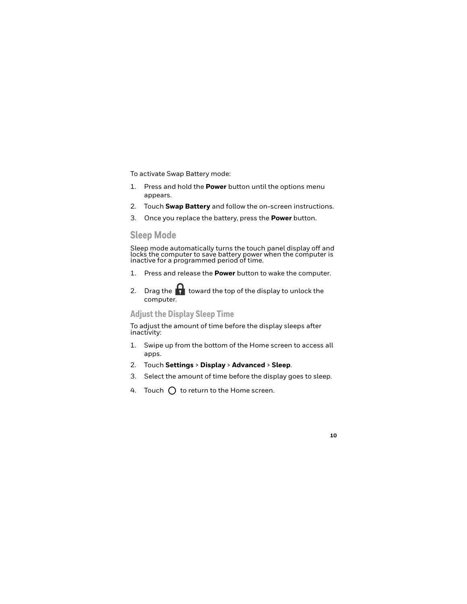To activate Swap Battery mode:

- 1. Press and hold the **Power** button until the options menu appears.
- 2. Touch **Swap Battery** and follow the on-screen instructions.
- 3. Once you replace the battery, press the **Power** button.

# **Sleep Mode**

Sleep mode automatically turns the touch panel display off and locks the computer to save battery power when the computer is inactive for a programmed period of time.

- 1. Press and release the **Power** button to wake the computer.
- 2. Drag the  $\mathbf{I}$  toward the top of the display to unlock the computer.

### **Adjust the Display Sleep Time**

To adjust the amount of time before the display sleeps after inactivity:

- 1. Swipe up from the bottom of the Home screen to access all apps.
- 2. Touch **Settings** > **Display** > **Advanced** > **Sleep**.
- 3. Select the amount of time before the display goes to sleep.
- 4. Touch  $\bigcap$  to return to the Home screen.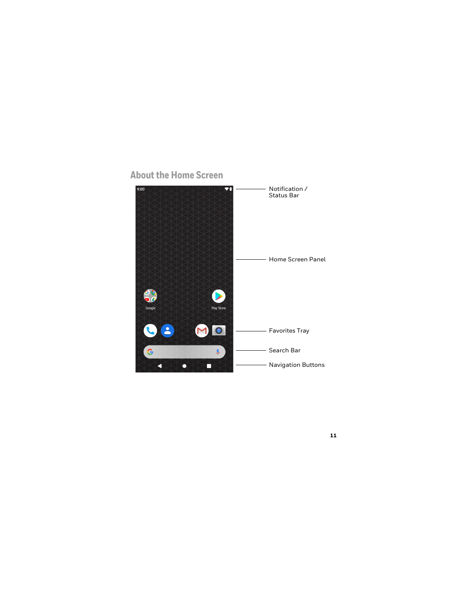

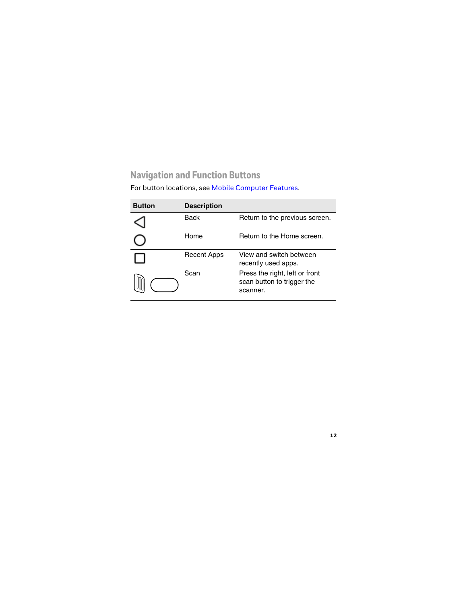# **Navigation and Function Buttons**

For button locations, see [Mobile Computer Features.](#page-2-0)

| <b>Button</b> | <b>Description</b> |                                                                          |
|---------------|--------------------|--------------------------------------------------------------------------|
|               | Back               | Return to the previous screen.                                           |
|               | Home               | Return to the Home screen.                                               |
|               | Recent Apps        | View and switch between<br>recently used apps.                           |
|               | Scan               | Press the right, left or front<br>scan button to trigger the<br>scanner. |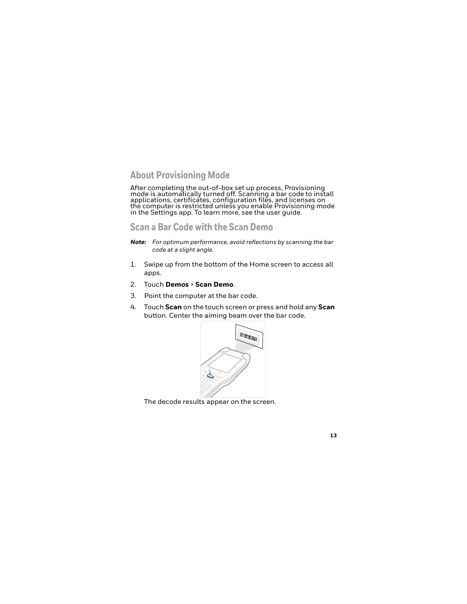### **About Provisioning Mode**

After completing the out-of-box set up process, Provisioning<br>mode is automatically turned off. Scanning a bar code to install applications, certificates, configuration files, and licenses on the computer is restricted unless you enable Provisioning mode in the Settings app. To learn more, see the user guide.

### **Scan a Bar Code with the Scan Demo**

- *Note: For optimum performance, avoid reflections by scanning the bar code at a slight angle.*
- 1. Swipe up from the bottom of the Home screen to access all apps.
- 2. Touch **Demos** > **Scan Demo**.
- 3. Point the computer at the bar code.
- 4. Touch **Scan** on the touch screen or press and hold any **Scan** button. Center the aiming beam over the bar code.



The decode results appear on the screen.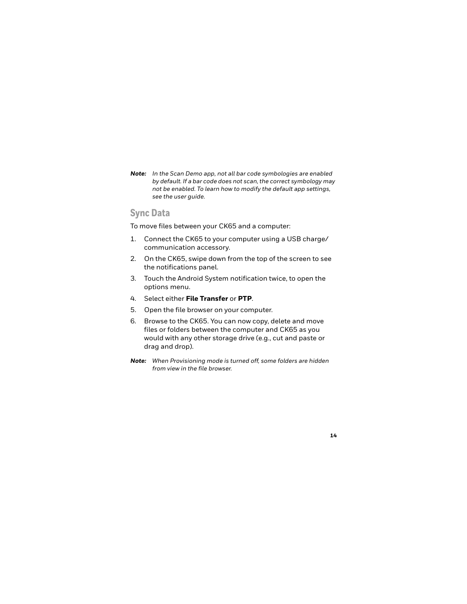*Note: In the Scan Demo app, not all bar code symbologies are enabled by default. If a bar code does not scan, the correct symbology may not be enabled. To learn how to modify the default app settings, see the user guide.*

# **Sync Data**

To move files between your CK65 and a computer:

- 1. Connect the CK65 to your computer using a USB charge/ communication accessory.
- 2. On the CK65, swipe down from the top of the screen to see the notifications panel.
- 3. Touch the Android System notification twice, to open the options menu.
- 4. Select either **File Transfer** or **PTP**.
- 5. Open the file browser on your computer.
- 6. Browse to the CK65. You can now copy, delete and move files or folders between the computer and CK65 as you would with any other storage drive (e.g., cut and paste or drag and drop).
- *Note: When Provisioning mode is turned off, some folders are hidden from view in the file browser.*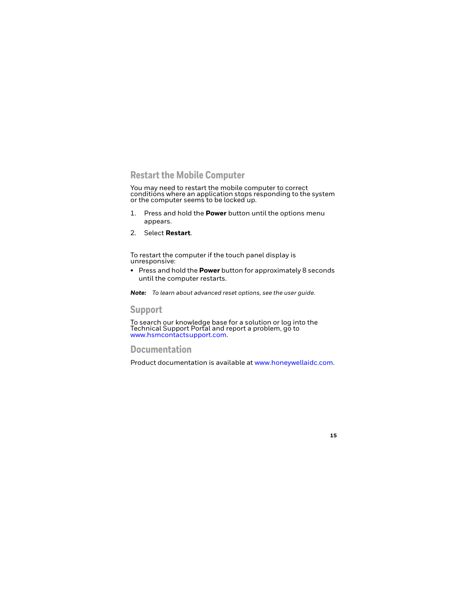### **Restart the Mobile Computer**

You may need to restart the mobile computer to correct conditions where an application stops responding to the system or the computer seems to be locked up.

- 1. Press and hold the **Power** button until the options menu appears.
- 2. Select **Restart**.

To restart the computer if the touch panel display is unresponsive:

• Press and hold the **Power** button for approximately 8 seconds until the computer restarts.

*Note: To learn about advanced reset options, see the user guide.*

### **Support**

To search our knowledge base for a solution or log into the<br>Technical Support Portal and report a problem, go to www.hsmcontactsupport.com.

### **Documentation**

Product documentation is available at www.honeywellaidc.com.